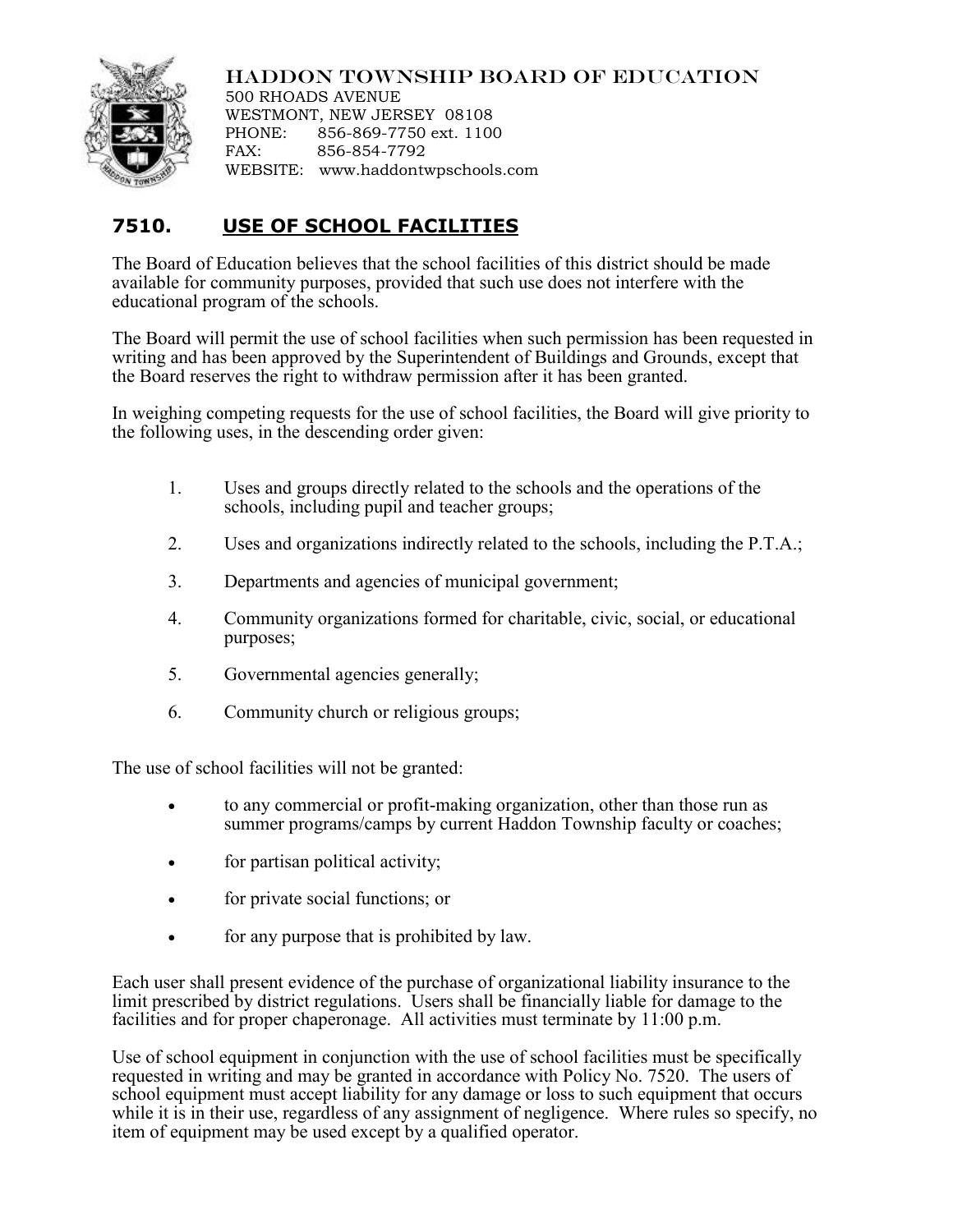## HADDON TOWNSHIP BOARD OF EDUCATION

500 RHOADS AVENUE WESTMONT, NEW JERSEY 08108 PHONE: 856-869-7750 ext. 1100 FAX: 856-854-7792 WEBSITE: www.haddontwpschools.com

## **7510. USE OF SCHOOL FACILITIES**

The Board of Education believes that the school facilities of this district should be made available for community purposes, provided that such use does not interfere with the educational program of the schools.

The Board will permit the use of school facilities when such permission has been requested in writing and has been approved by the Superintendent of Buildings and Grounds, except that the Board reserves the right to withdraw permission after it has been granted.

In weighing competing requests for the use of school facilities, the Board will give priority to the following uses, in the descending order given:

- 1. Uses and groups directly related to the schools and the operations of the schools, including pupil and teacher groups;
- 2. Uses and organizations indirectly related to the schools, including the P.T.A.;
- 3. Departments and agencies of municipal government;
- 4. Community organizations formed for charitable, civic, social, or educational purposes;
- 5. Governmental agencies generally;
- 6. Community church or religious groups;

The use of school facilities will not be granted:

- to any commercial or profit-making organization, other than those run as summer programs/camps by current Haddon Township faculty or coaches;
- for partisan political activity;
- for private social functions; or
- for any purpose that is prohibited by law.

Each user shall present evidence of the purchase of organizational liability insurance to the limit prescribed by district regulations. Users shall be financially liable for damage to the facilities and for proper chaperonage. All activities must terminate by 11:00 p.m.

Use of school equipment in conjunction with the use of school facilities must be specifically requested in writing and may be granted in accordance with Policy No. 7520. The users of school equipment must accept liability for any damage or loss to such equipment that occurs while it is in their use, regardless of any assignment of negligence. Where rules so specify, no item of equipment may be used except by a qualified operator.